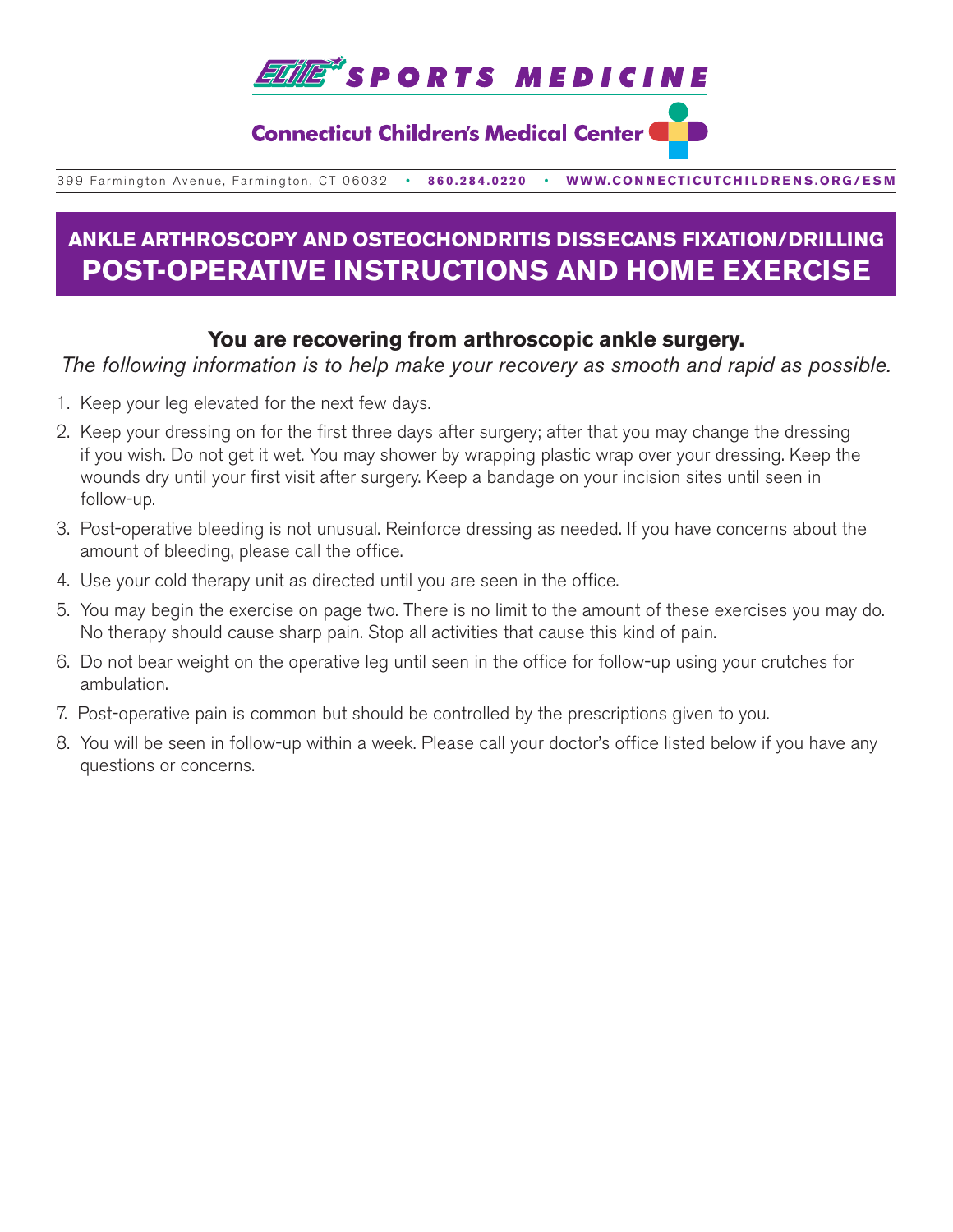

### **Connecticut Children's Medical Center (**

399 Farmington Avenue, Farmington, CT 06032•**860.284.0220**•**WWW.CONNECTICUTCHILDRENS.ORG/ESM**

# **ANKLE ARTHROSCOPY AND OSTEOCHONDRITIS DISSECANS FIXATION/DRILLING POST-OPERATIVE INSTRUCTIONS AND HOME EXERCISE**

### **You are recovering from arthroscopic ankle surgery.**

*The following information is to help make your recovery as smooth and rapid as possible.*

- 1. Keep your leg elevated for the next few days.
- 2. Keep your dressing on for the first three days after surgery; after that you may change the dressing if you wish. Do not get it wet. You may shower by wrapping plastic wrap over your dressing. Keep the wounds dry until your first visit after surgery. Keep a bandage on your incision sites until seen in follow-up.
- 3. Post-operative bleeding is not unusual. Reinforce dressing as needed. If you have concerns about the amount of bleeding, please call the office.
- 4. Use your cold therapy unit as directed until you are seen in the office.
- 5. You may begin the exercise on page two. There is no limit to the amount of these exercises you may do. No therapy should cause sharp pain. Stop all activities that cause this kind of pain.
- 6. Do not bear weight on the operative leg until seen in the office for follow-up using your crutches for ambulation.
- 7. Post-operative pain is common but should be controlled by the prescriptions given to you.
- 8. You will be seen in follow-up within a week. Please call your doctor's office listed below if you have any questions or concerns.